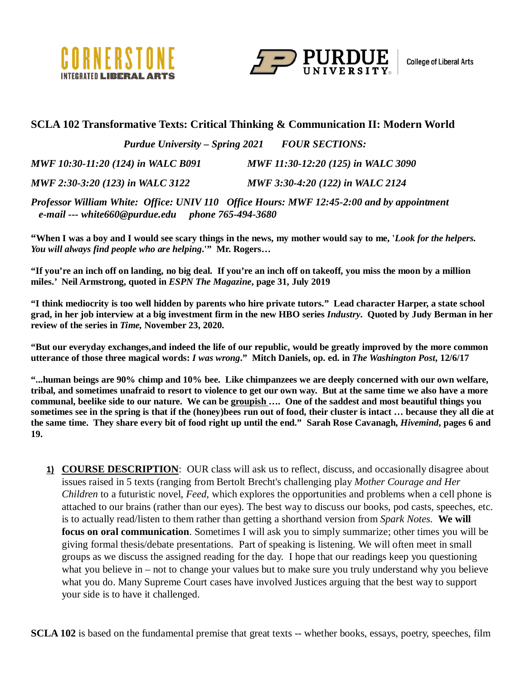



#### **SCLA 102 Transformative Texts: Critical Thinking & Communication II: Modern World**

*Purdue University – Spring 2021 FOUR SECTIONS: MWF 10:30-11:20 (124) in WALC B091 MWF 11:30-12:20 (125) in WALC 3090 MWF 2:30-3:20 (123) in WALC 3122 MWF 3:30-4:20 (122) in WALC 2124*

*Professor William White: Office: UNIV 110 Office Hours: MWF 12:45-2:00 and by appointment e-mail --- white660@purdue.edu phone 765-494-3680*

**"When I was a boy and I would see scary things in the news, my mother would say to me, '***Look for the helpers. You will always find people who are helping***.'" Mr. Rogers…**

**"If you're an inch off on landing, no big deal. If you're an inch off on takeoff, you miss the moon by a million miles.' Neil Armstrong, quoted in** *ESPN The Magazine***, page 31, July 2019**

**"I think mediocrity is too well hidden by parents who hire private tutors." Lead character Harper, a state school grad, in her job interview at a big investment firm in the new HBO series** *Industry***. Quoted by Judy Berman in her review of the series in** *Time,* **November 23, 2020.**

**"But our everyday exchanges,and indeed the life of our republic, would be greatly improved by the more common utterance of those three magical words:** *I was wrong***." Mitch Daniels, op. ed. in** *The Washington Post***, 12/6/17**

**"...human beings are 90% chimp and 10% bee. Like chimpanzees we are deeply concerned with our own welfare, tribal, and sometimes unafraid to resort to violence to get our own way. But at the same time we also have a more communal, beelike side to our nature. We can be groupish …. One of the saddest and most beautiful things you sometimes see in the spring is that if the (honey)bees run out of food, their cluster is intact … because they all die at the same time. They share every bit of food right up until the end." Sarah Rose Cavanagh,** *Hivemind***, pages 6 and 19.**

**1) COURSE DESCRIPTION**: OUR class will ask us to reflect, discuss, and occasionally disagree about issues raised in 5 texts (ranging from Bertolt Brecht's challenging play *Mother Courage and Her Children* to a futuristic novel, *Feed,* which explores the opportunities and problems when a cell phone is attached to our brains (rather than our eyes). The best way to discuss our books, pod casts, speeches, etc. is to actually read/listen to them rather than getting a shorthand version from *Spark Notes*. **We will focus on oral communication**. Sometimes I will ask you to simply summarize; other times you will be giving formal thesis/debate presentations. Part of speaking is listening. We will often meet in small groups as we discuss the assigned reading for the day. I hope that our readings keep you questioning what you believe in – not to change your values but to make sure you truly understand why you believe what you do. Many Supreme Court cases have involved Justices arguing that the best way to support your side is to have it challenged.

**SCLA 102** is based on the fundamental premise that great texts -- whether books, essays, poetry, speeches, film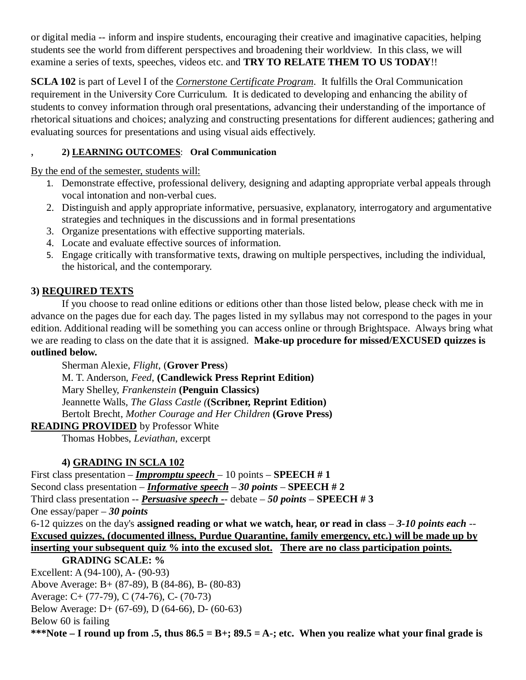or digital media -- inform and inspire students, encouraging their creative and imaginative capacities, helping students see the world from different perspectives and broadening their worldview. In this class, we will examine a series of texts, speeches, videos etc. and **TRY TO RELATE THEM TO US TODAY**!!

**SCLA 102** is part of Level I of the *Cornerstone Certificate Program*. It fulfills the Oral Communication requirement in the University Core Curriculum. It is dedicated to developing and enhancing the ability of students to convey information through oral presentations, advancing their understanding of the importance of rhetorical situations and choices; analyzing and constructing presentations for different audiences; gathering and evaluating sources for presentations and using visual aids effectively.

### , **2) LEARNING OUTCOMES**: **Oral Communication**

By the end of the semester, students will:

- 1. Demonstrate effective, professional delivery, designing and adapting appropriate verbal appeals through vocal intonation and non-verbal cues.
- 2. Distinguish and apply appropriate informative, persuasive, explanatory, interrogatory and argumentative strategies and techniques in the discussions and in formal presentations
- 3. Organize presentations with effective supporting materials.
- 4. Locate and evaluate effective sources of information.
- 5. Engage critically with transformative texts, drawing on multiple perspectives, including the individual, the historical, and the contemporary.

## **3) REQUIRED TEXTS**

If you choose to read online editions or editions other than those listed below, please check with me in advance on the pages due for each day. The pages listed in my syllabus may not correspond to the pages in your edition. Additional reading will be something you can access online or through Brightspace. Always bring what we are reading to class on the date that it is assigned. **Make-up procedure for missed/EXCUSED quizzes is outlined below.**

Sherman Alexie, *Flight*, (**Grover Press**) M. T. Anderson, *Feed*, **(Candlewick Press Reprint Edition)** Mary Shelley, *Frankenstein* **(Penguin Classics)** Jeannette Walls*, The Glass Castle (***(Scribner, Reprint Edition)** Bertolt Brecht, *Mother Courage and Her Children* **(Grove Press)**

## **READING PROVIDED** by Professor White

Thomas Hobbes, *Leviathan*, excerpt

# **4) GRADING IN SCLA 102**

First class presentation – *Impromptu speech* – 10 points – **SPEECH # 1** Second class presentation – *Informative speech – 30 points* – **SPEECH # 2** Third class presentation -- *Persuasive speech -*- debate – *50 points* – **SPEECH # 3** One essay/paper – *30 points* 6-12 quizzes on the day's **assigned reading or what we watch, hear, or read in class** – *3-10 points each* -- **Excused quizzes, (documented illness, Purdue Quarantine, family emergency, etc.) will be made up by inserting your subsequent quiz % into the excused slot. There are no class participation points. GRADING SCALE: %** Excellent: A (94-100), A- (90-93)

Above Average: B+ (87-89), B (84-86), B- (80-83)

Average: C+ (77-79), C (74-76), C- (70-73)

Below Average: D+ (67-69), D (64-66), D- (60-63)

Below 60 is failing

**\*\*\*Note – I round up from .5, thus 86.5 = B+; 89.5 = A-; etc. When you realize what your final grade is**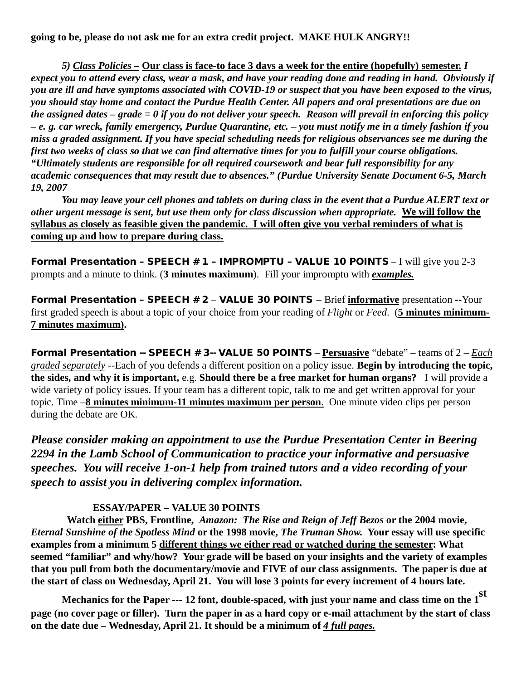**going to be, please do not ask me for an extra credit project. MAKE HULK ANGRY!!**

*5) Class Policies –* **Our class is face-to face 3 days a week for the entire (hopefully) semester.** *I expect you to attend every class, wear a mask, and have your reading done and reading in hand. Obviously if you are ill and have symptoms associated with COVID-19 or suspect that you have been exposed to the virus, you should stay home and contact the Purdue Health Center. All papers and oral presentations are due on the assigned dates – grade = 0 if you do not deliver your speech. Reason will prevail in enforcing this policy – e. g. car wreck, family emergency, Purdue Quarantine, etc. – you must notify me in a timely fashion if you miss a graded assignment. If you have special scheduling needs for religious observances see me during the first two weeks of class so that we can find alternative times for you to fulfill your course obligations. "Ultimately students are responsible for all required coursework and bear full responsibility for any academic consequences that may result due to absences." (Purdue University Senate Document 6-5, March 19, 2007*

*You may leave your cell phones and tablets on during class in the event that a Purdue ALERT text or other urgent message is sent, but use them only for class discussion when appropriate.* **We will follow the syllabus as closely as feasible given the pandemic. I will often give you verbal reminders of what is coming up and how to prepare during class.**

Formal Presentation - SPEECH # 1 - IMPROMPTU - VALUE 10 POINTS - I will give you 2-3 prompts and a minute to think. (**3 minutes maximum**). Fill your impromptu with *examples.*

Formal Presentation – SPEECH # 2 – VALUE 30 POINTS – Brief **informative** presentation --Your first graded speech is about a topic of your choice from your reading of *Flight* or *Feed*. (**5 minutes minimum-7 minutes maximum).** 

Formal Presentation -- SPEECH # 3-- VALUE 50 POINTS – **Persuasive** "debate" – teams of 2 – *Each graded separately* --Each of you defends a different position on a policy issue. **Begin by introducing the topic, the sides, and why it is important,** e.g. **Should there be a free market for human organs?** I will provide a wide variety of policy issues. If your team has a different topic, talk to me and get written approval for your topic. Time –**8 minutes minimum-11 minutes maximum per person**. One minute video clips per person during the debate are OK.

*Please consider making an appointment to use the Purdue Presentation Center in Beering 2294 in the Lamb School of Communication to practice your informative and persuasive speeches. You will receive 1-on-1 help from trained tutors and a video recording of your speech to assist you in delivering complex information.*

### **ESSAY/PAPER – VALUE 30 POINTS**

 **Watch either PBS, Frontline,** *Amazon: The Rise and Reign of Jeff Bezos* **or the 2004 movie,**  *Eternal Sunshine of the Spotless Mind* **or the 1998 movie,** *The Truman Show.* **Your essay will use specific examples from a minimum 5 different things we either read or watched during the semester: What seemed "familiar" and why/how? Your grade will be based on your insights and the variety of examples that you pull from both the documentary/movie and FIVE of our class assignments. The paper is due at the start of class on Wednesday, April 21. You will lose 3 points for every increment of 4 hours late.** 

**Mechanics for the Paper --- 12 font, double-spaced, with just your name and class time on the 1st page (no cover page or filler). Turn the paper in as a hard copy or e-mail attachment by the start of class on the date due – Wednesday, April 21. It should be a minimum of** *4 full pages.*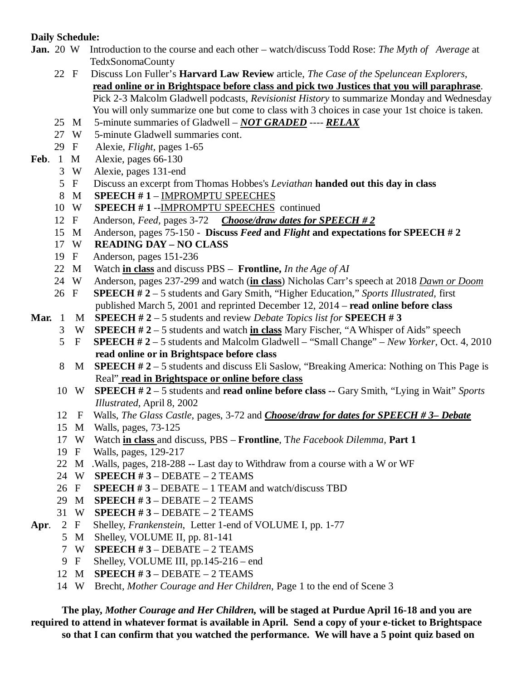### **Daily Schedule:**

- **Jan.** 20 W Introduction to the course and each other watch/discuss Todd Rose: *The Myth of Average* at TedxSonomaCounty
	- 22 F Discuss Lon Fuller's **Harvard Law Review** article, *The Case of the Speluncean Explorers*, **read online or in Brightspace before class and pick two Justices that you will paraphrase**. Pick 2-3 Malcolm Gladwell podcasts, *Revisionist History* to summarize Monday and Wednesday You will only summarize one but come to class with 3 choices in case your 1st choice is taken.
	- 25 M 5-minute summaries of Gladwell *NOT GRADED* ---- *RELAX*
	- 27 W 5-minute Gladwell summaries cont.
	- 29 F Alexie, *Flight,* pages 1-65
- **Feb**. 1 M Alexie, pages 66-130
	- 3 W Alexie, pages 131-end
	- 5 F Discuss an excerpt from Thomas Hobbes's *Leviathan* **handed out this day in class**
	- 8 M **SPEECH # 1** IMPROMPTU SPEECHES
	- 10 W **SPEECH # 1** --IMPROMPTU SPEECHES continued
	- 12 F Anderson, *Feed,* pages 3-72 *Choose/draw dates for SPEECH # 2*
	- 15 M Anderson, pages 75-150 **Discuss** *Feed* **and** *Flight* **and expectations for SPEECH # 2**
	- 17 W **READING DAY – NO CLASS**
	- 19 F Anderson, pages 151-236
	- 22 M Watch **in class** and discuss PBS **Frontline,** *In the Age of AI*
	- 24 W Anderson, pages 237-299 and watch (**in class**) Nicholas Carr's speech at 2018 *Dawn or Doom*
	- 26 F **SPEECH # 2**  5 students and Gary Smith, "Higher Education," *Sports Illustrated*, first published March 5, 2001 and reprinted December 12, 2014 – **read online before class**
- **Mar.** 1 M **SPEECH # 2** 5 students and review *Debate Topics list for* **SPEECH # 3**
	- 3 W **SPEECH # 2** 5 students and watch **in class** Mary Fischer, "A Whisper of Aids" speech
	- 5 F **SPEECH # 2** 5 students and Malcolm Gladwell "Small Change" *New Yorker*, Oct. 4, 2010 **read online or in Brightspace before class**
	- 8 M **SPEECH # 2**  5 students and discuss Eli Saslow, "Breaking America: Nothing on This Page is Real" **read in Brightspace or online before class**
	- 10 W **SPEECH # 2** 5 students and **read online before class --** Gary Smith, "Lying in Wait" *Sports Illustrated*, April 8, 2002
	- 12 F Walls, *The Glass Castle*, pages, 3-72 and *Choose/draw for dates for SPEECH # 3– Debate*
	- 15 M Walls, pages, 73-125
	- 17 W Watch **in class** and discuss, PBS **Frontline**, T*he Facebook Dilemma,* **Part 1**
	- 19 F Walls, pages, 129-217
	- 22 M .Walls, pages, 218-288 -- Last day to Withdraw from a course with a W or WF
	- 24 W **SPEECH # 3** DEBATE 2 TEAMS
	- 26 F **SPEECH # 3** DEBATE 1 TEAM and watch/discuss TBD
	- 29 M **SPEECH # 3** DEBATE 2 TEAMS
	- 31 W **SPEECH # 3**  DEBATE 2 TEAMS
- **Apr**. 2 F Shelley, *Frankenstein*, Letter 1-end of VOLUME I, pp. 1-77
	- 5 M Shelley, VOLUME II, pp. 81-141
	- 7 W **SPEECH # 3**  DEBATE 2 TEAMS
	- 9 F Shelley, VOLUME III, pp.145-216 end
	- 12 M **SPEECH # 3** DEBATE 2 TEAMS
	- 14 W Brecht, *Mother Courage and Her Children*, Page 1 to the end of Scene 3

**The play,** *Mother Courage and Her Children,* **will be staged at Purdue April 16-18 and you are required to attend in whatever format is available in April. Send a copy of your e-ticket to Brightspace so that I can confirm that you watched the performance. We will have a 5 point quiz based on**